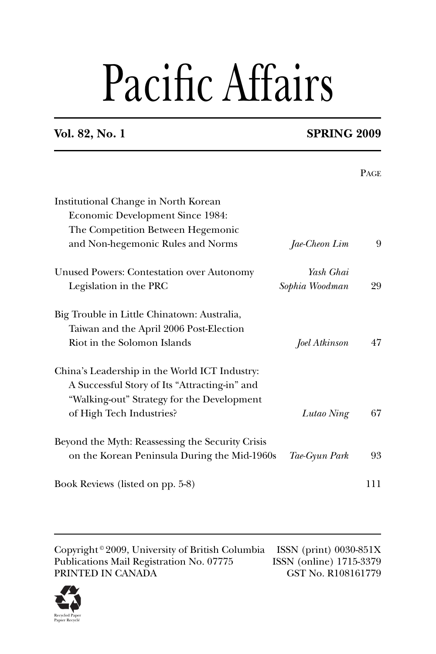# Pacific Affairs

## **Vol. 82, No. 1 SPRING 2009**

|                                                                                                                                                                          |                | <b>PAGE</b> |
|--------------------------------------------------------------------------------------------------------------------------------------------------------------------------|----------------|-------------|
| Institutional Change in North Korean<br>Economic Development Since 1984:                                                                                                 |                |             |
| The Competition Between Hegemonic                                                                                                                                        |                |             |
| and Non-hegemonic Rules and Norms                                                                                                                                        | Jae-Cheon Lim  | 9           |
| <b>Unused Powers: Contestation over Autonomy</b>                                                                                                                         | Yash Ghai      |             |
| Legislation in the PRC                                                                                                                                                   | Sophia Woodman | 29          |
| Big Trouble in Little Chinatown: Australia,<br>Taiwan and the April 2006 Post-Election<br>Riot in the Solomon Islands                                                    | Joel Atkinson  | 47          |
| China's Leadership in the World ICT Industry:<br>A Successful Story of Its "Attracting-in" and<br>"Walking-out" Strategy for the Development<br>of High Tech Industries? | Lutao Ning     | 67          |
| Beyond the Myth: Reassessing the Security Crisis<br>on the Korean Peninsula During the Mid-1960s                                                                         | Tae-Gyun Park  | 93          |
| Book Reviews (listed on pp. 5-8)                                                                                                                                         |                | 111         |
|                                                                                                                                                                          |                |             |

Copyright © 2009, University of British Columbia ISSN (print) 0030-851X<br>Publications Mail Registration No. 07775 ISSN (online) 1715-3379 Publications Mail Registration No. 07775 ISSN (online) 1715-3379<br>PRINTED IN CANADA GST No. R108161779 PRINTED IN CANADA

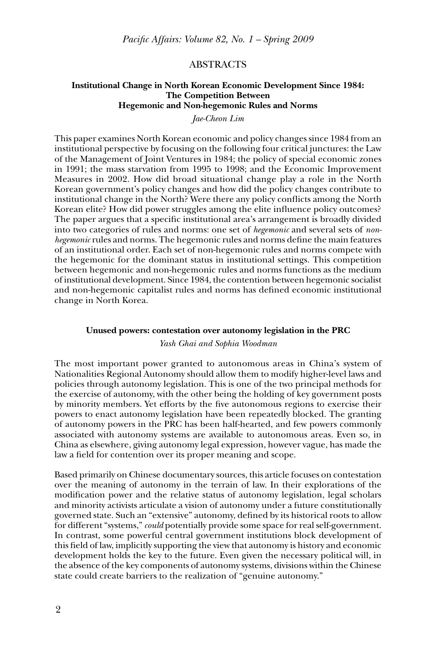## ABSTRACTS

## **Institutional Change in North Korean Economic Development Since 1984: The Competition Between Hegemonic and Non-hegemonic Rules and Norms**

## *Jae-Cheon Lim*

This paper examines North Korean economic and policy changes since 1984 from an institutional perspective by focusing on the following four critical junctures: the Law of the Management of Joint Ventures in 1984; the policy of special economic zones in 1991; the mass starvation from 1995 to 1998; and the Economic Improvement Measures in 2002. How did broad situational change play a role in the North Korean government's policy changes and how did the policy changes contribute to institutional change in the North? Were there any policy conflicts among the North Korean elite? How did power struggles among the elite influence policy outcomes? The paper argues that a specific institutional area's arrangement is broadly divided into two categories of rules and norms: one set of *hegemonic* and several sets of *nonhegemonic* rules and norms. The hegemonic rules and norms define the main features of an institutional order. Each set of non-hegemonic rules and norms compete with the hegemonic for the dominant status in institutional settings. This competition between hegemonic and non-hegemonic rules and norms functions as the medium of institutional development. Since 1984, the contention between hegemonic socialist and non-hegemonic capitalist rules and norms has defined economic institutional change in North Korea.

### **Unused powers: contestation over autonomy legislation in the PRC**

## *Yash Ghai and Sophia Woodman*

The most important power granted to autonomous areas in China's system of Nationalities Regional Autonomy should allow them to modify higher-level laws and policies through autonomy legislation. This is one of the two principal methods for the exercise of autonomy, with the other being the holding of key government posts by minority members. Yet efforts by the five autonomous regions to exercise their powers to enact autonomy legislation have been repeatedly blocked. The granting of autonomy powers in the PRC has been half-hearted, and few powers commonly associated with autonomy systems are available to autonomous areas. Even so, in China as elsewhere, giving autonomy legal expression, however vague, has made the law a field for contention over its proper meaning and scope.

Based primarily on Chinese documentary sources, this article focuses on contestation over the meaning of autonomy in the terrain of law. In their explorations of the modification power and the relative status of autonomy legislation, legal scholars and minority activists articulate a vision of autonomy under a future constitutionally governed state. Such an "extensive" autonomy, defined by its historical roots to allow for different "systems," *could* potentially provide some space for real self-government. In contrast, some powerful central government institutions block development of this field of law, implicitly supporting the view that autonomy is history and economic development holds the key to the future. Even given the necessary political will, in the absence of the key components of autonomy systems, divisions within the Chinese state could create barriers to the realization of "genuine autonomy."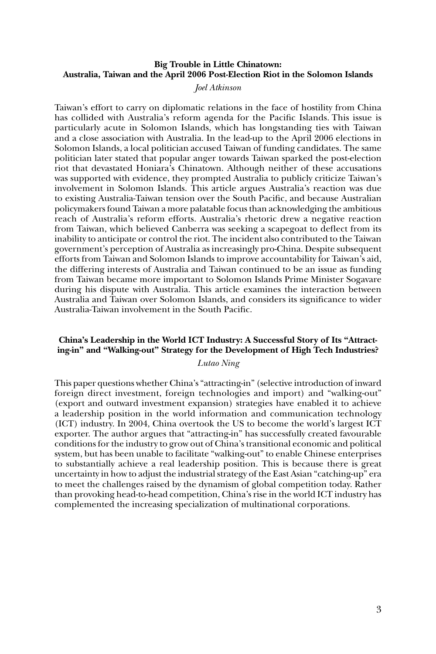## **Big Trouble in Little Chinatown: Australia, Taiwan and the April 2006 Post-Election Riot in the Solomon Islands**

## *Joel Atkinson*

Taiwan's effort to carry on diplomatic relations in the face of hostility from China has collided with Australia's reform agenda for the Pacific Islands. This issue is particularly acute in Solomon Islands, which has longstanding ties with Taiwan and a close association with Australia. In the lead-up to the April 2006 elections in Solomon Islands, a local politician accused Taiwan of funding candidates. The same politician later stated that popular anger towards Taiwan sparked the post-election riot that devastated Honiara's Chinatown. Although neither of these accusations was supported with evidence, they prompted Australia to publicly criticize Taiwan's involvement in Solomon Islands. This article argues Australia's reaction was due to existing Australia-Taiwan tension over the South Pacific, and because Australian policymakers found Taiwan a more palatable focus than acknowledging the ambitious reach of Australia's reform efforts. Australia's rhetoric drew a negative reaction from Taiwan, which believed Canberra was seeking a scapegoat to deflect from its inability to anticipate or control the riot. The incident also contributed to the Taiwan government's perception of Australia as increasingly pro-China. Despite subsequent efforts from Taiwan and Solomon Islands to improve accountability for Taiwan's aid, the differing interests of Australia and Taiwan continued to be an issue as funding from Taiwan became more important to Solomon Islands Prime Minister Sogavare during his dispute with Australia. This article examines the interaction between Australia and Taiwan over Solomon Islands, and considers its significance to wider Australia-Taiwan involvement in the South Pacific.

## **China's Leadership in the World ICT Industry: A Successful Story of Its "Attracting-in" and "Walking-out" Strategy for the Development of High Tech Industries?**

## *Lutao Ning*

This paper questions whether China's "attracting-in" (selective introduction of inward foreign direct investment, foreign technologies and import) and "walking-out" (export and outward investment expansion) strategies have enabled it to achieve a leadership position in the world information and communication technology (ICT) industry. In 2004, China overtook the US to become the world's largest ICT exporter. The author argues that "attracting-in" has successfully created favourable conditions for the industry to grow out of China's transitional economic and political system, but has been unable to facilitate "walking-out" to enable Chinese enterprises to substantially achieve a real leadership position. This is because there is great uncertainty in how to adjust the industrial strategy of the East Asian "catching-up" era to meet the challenges raised by the dynamism of global competition today. Rather than provoking head-to-head competition, China's rise in the world ICT industry has complemented the increasing specialization of multinational corporations.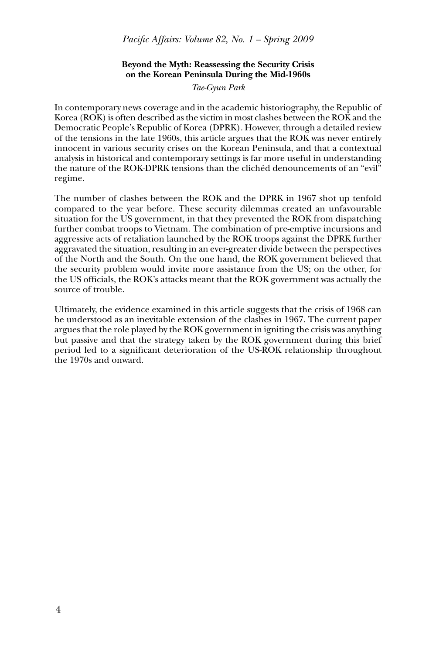*Pacific Affairs: Volume 82, No. 1 – Spring 2009* 

## **Beyond the Myth: Reassessing the Security Crisis on the Korean Peninsula During the Mid-1960s**

*Tae-Gyun Park*

In contemporary news coverage and in the academic historiography, the Republic of Korea (ROK) is often described as the victim in most clashes between the ROK and the Democratic People's Republic of Korea (DPRK). However, through a detailed review of the tensions in the late 1960s, this article argues that the ROK was never entirely innocent in various security crises on the Korean Peninsula, and that a contextual analysis in historical and contemporary settings is far more useful in understanding the nature of the ROK-DPRK tensions than the clichéd denouncements of an "evil" regime.

The number of clashes between the ROK and the DPRK in 1967 shot up tenfold compared to the year before. These security dilemmas created an unfavourable situation for the US government, in that they prevented the ROK from dispatching further combat troops to Vietnam. The combination of pre-emptive incursions and aggressive acts of retaliation launched by the ROK troops against the DPRK further aggravated the situation, resulting in an ever-greater divide between the perspectives of the North and the South. On the one hand, the ROK government believed that the security problem would invite more assistance from the US; on the other, for the US officials, the ROK's attacks meant that the ROK government was actually the source of trouble.

Ultimately, the evidence examined in this article suggests that the crisis of 1968 can be understood as an inevitable extension of the clashes in 1967. The current paper argues that the role played by the ROK government in igniting the crisis was anything but passive and that the strategy taken by the ROK government during this brief period led to a significant deterioration of the US-ROK relationship throughout the 1970s and onward.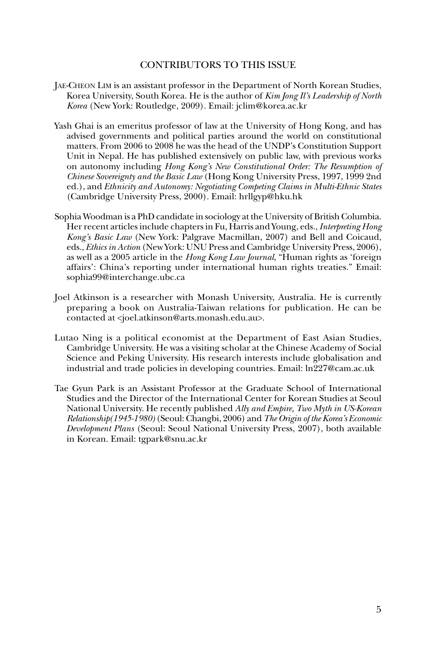## CONTRIBUTORS TO THIS ISSUE

- JAE-CHEON LIM is an assistant professor in the Department of North Korean Studies, Korea University, South Korea. He is the author of *Kim Jong Il's Leadership of North Korea* (New York: Routledge, 2009). Email: jclim@korea.ac.kr
- Yash Ghai is an emeritus professor of law at the University of Hong Kong, and has advised governments and political parties around the world on constitutional matters. From 2006 to 2008 he was the head of the UNDP's Constitution Support Unit in Nepal. He has published extensively on public law, with previous works on autonomy including *Hong Kong's New Constitutional Order: The Resumption of Chinese Sovereignty and the Basic Law* (Hong Kong University Press, 1997, 1999 2nd ed.), and *Ethnicity and Autonomy: Negotiating Competing Claims in Multi-Ethnic States*  (Cambridge University Press, 2000). Email: hrllgyp@hku.hk
- Sophia Woodman is a PhD candidate in sociology at the University of British Columbia. Her recent articles include chapters in Fu, Harris and Young, eds., *Interpreting Hong Kong's Basic Law* (New York: Palgrave Macmillan, 2007) and Bell and Coicaud, eds., *Ethics in Action* (New York: UNU Press and Cambridge University Press, 2006), as well as a 2005 article in the *Hong Kong Law Journal*, "Human rights as 'foreign affairs': China's reporting under international human rights treaties." Email: sophia99@interchange.ubc.ca
- Joel Atkinson is a researcher with Monash University, Australia. He is currently preparing a book on Australia-Taiwan relations for publication. He can be contacted at <joel.atkinson@arts.monash.edu.au>.
- Lutao Ning is a political economist at the Department of East Asian Studies, Cambridge University. He was a visiting scholar at the Chinese Academy of Social Science and Peking University. His research interests include globalisation and industrial and trade policies in developing countries. Email: ln227@cam.ac.uk
- Tae Gyun Park is an Assistant Professor at the Graduate School of International Studies and the Director of the International Center for Korean Studies at Seoul National University. He recently published *Ally and Empire, Two Myth in US-Korean Relationship(1945-1980)* (Seoul: Changbi, 2006) and *The Origin of the Korea's Economic Development Plans* (Seoul: Seoul National University Press, 2007), both available in Korean. Email: tgpark@snu.ac.kr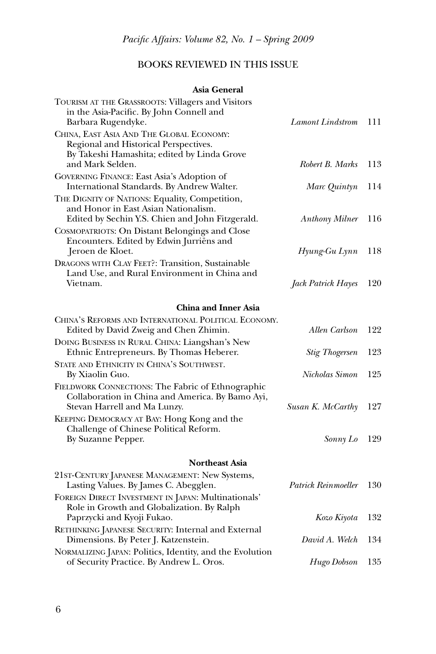## BOOKS REVIEWED IN THIS ISSUE

## **Asia General**

| TOURISM AT THE GRASSROOTS: Villagers and Visitors<br>in the Asia-Pacific. By John Connell and<br>Barbara Rugendyke.                        | <b>Lamont Lindstrom</b> | 111 |
|--------------------------------------------------------------------------------------------------------------------------------------------|-------------------------|-----|
| CHINA, EAST ASIA AND THE GLOBAL ECONOMY:<br>Regional and Historical Perspectives.                                                          |                         |     |
| By Takeshi Hamashita; edited by Linda Grove<br>and Mark Selden.                                                                            | Robert B. Marks         | 113 |
| GOVERNING FINANCE: East Asia's Adoption of<br>International Standards. By Andrew Walter.                                                   | Marc Quintyn            | 114 |
| THE DIGNITY OF NATIONS: Equality, Competition,<br>and Honor in East Asian Nationalism.<br>Edited by Sechin Y.S. Chien and John Fitzgerald. | <b>Anthony Milner</b>   | 116 |
| COSMOPATRIOTS: On Distant Belongings and Close<br>Encounters. Edited by Edwin Jurriëns and<br>Jeroen de Kloet.                             | Hyung-Gu Lynn           | 118 |
| DRAGONS WITH CLAY FEET?: Transition, Sustainable<br>Land Use, and Rural Environment in China and<br>Vietnam.                               | Jack Patrick Hayes      | 120 |
| <b>China and Inner Asia</b>                                                                                                                |                         |     |
| CHINA'S REFORMS AND INTERNATIONAL POLITICAL ECONOMY.<br>Edited by David Zweig and Chen Zhimin.                                             | Allen Carlson           | 122 |
| DOING BUSINESS IN RURAL CHINA: Liangshan's New<br>Ethnic Entrepreneurs. By Thomas Heberer.                                                 | <b>Stig Thogersen</b>   | 123 |
| STATE AND ETHNICITY IN CHINA'S SOUTHWEST.<br>By Xiaolin Guo.                                                                               | Nicholas Simon          | 125 |
| FIELDWORK CONNECTIONS: The Fabric of Ethnographic<br>Collaboration in China and America. By Bamo Ayi,<br>Stevan Harrell and Ma Lunzy.      | Susan K. McCarthy       | 127 |
| KEEPING DEMOCRACY AT BAY: Hong Kong and the<br>Challenge of Chinese Political Reform.<br>By Suzanne Pepper.                                | Sonny Lo                | 129 |
| <b>Northeast Asia</b>                                                                                                                      |                         |     |
| 21ST-CENTURY JAPANESE MANAGEMENT: New Systems,<br>Lasting Values. By James C. Abegglen.                                                    | Patrick Reinmoeller     | 130 |
| FOREIGN DIRECT INVESTMENT IN JAPAN: Multinationals'<br>Role in Growth and Globalization. By Ralph<br>Paprzycki and Kyoji Fukao.            | Kozo Kiyota             | 132 |
| RETHINKING JAPANESE SECURITY: Internal and External<br>Dimensions. By Peter J. Katzenstein.                                                | David A. Welch          | 134 |
| NORMALIZING JAPAN: Politics, Identity, and the Evolution<br>of Security Practice. By Andrew L. Oros.                                       | Hugo Dobson             | 135 |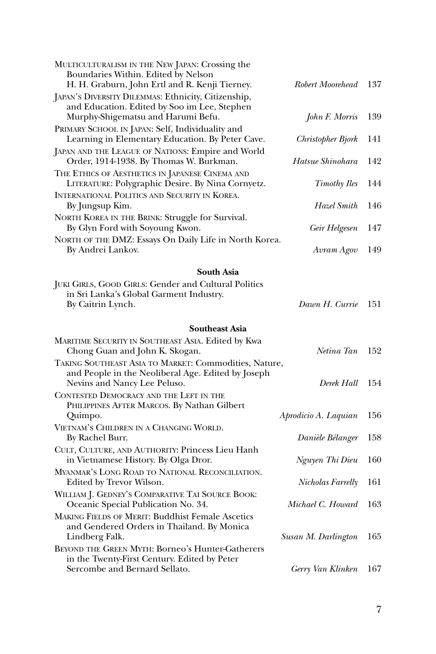| MULTICULTURALISM IN THE NEW JAPAN: Crossing the<br>Boundaries Within. Edited by Nelson<br>H. H. Graburn, John Ertl and R. Kenji Tierney.    | Robert Moorehead                         | 137 |
|---------------------------------------------------------------------------------------------------------------------------------------------|------------------------------------------|-----|
| JAPAN'S DIVERSITY DILEMMAS: Ethnicity, Citizenship,<br>and Education. Edited by Soo im Lee, Stephen<br>Murphy-Shigematsu and Harumi Befu.   | John F. Morris                           | 139 |
| PRIMARY SCHOOL IN JAPAN: Self, Individuality and<br>Learning in Elementary Education. By Peter Cave.                                        | Christopher Bjork                        | 141 |
| JAPAN AND THE LEAGUE OF NATIONS: Empire and World<br>Order, 1914-1938. By Thomas W. Burkman.                                                | Hatsue Shinohara                         | 142 |
| THE ETHICS OF AESTHETICS IN JAPANESE CINEMA AND<br>LITERATURE: Polygraphic Desire. By Nina Cornyetz.                                        | Timothy Iles                             | 144 |
| INTERNATIONAL POLITICS AND SECURITY IN KOREA.<br>By Jungsup Kim.                                                                            | Hazel Smith                              | 146 |
| NORTH KOREA IN THE BRINK: Struggle for Survival.<br>By Glyn Ford with Soyoung Kwon.                                                         | Geir Helgesen                            | 147 |
| NORTH OF THE DMZ: Essays On Daily Life in North Korea.<br>By Andrei Lankov.                                                                 | Avram Agov                               | 149 |
| <b>South Asia</b>                                                                                                                           |                                          |     |
| <b>JUKI GIRLS, GOOD GIRLS: Gender and Cultural Politics</b><br>in Sri Lanka's Global Garment Industry.<br>By Caitrin Lynch.                 | Dawn H. Currie                           | 151 |
| <b>Southeast Asia</b>                                                                                                                       |                                          |     |
| MARITIME SECURITY IN SOUTHEAST ASIA. Edited by Kwa<br>Chong Guan and John K. Skogan.                                                        | Netina Tan                               | 152 |
| TAKING SOUTHEAST ASIA TO MARKET: Commodities, Nature,<br>and People in the Neoliberal Age. Edited by Joseph<br>Nevins and Nancy Lee Peluso. | Derek Hall                               | 154 |
| CONTESTED DEMOCRACY AND THE LEFT IN THE<br>PHILIPPINES AFTER MARCOS. By Nathan Gilbert                                                      |                                          | 156 |
| Quimpo.<br>VIETNAM'S CHILDREN IN A CHANGING WORLD.<br>By Rachel Burr.                                                                       | Aprodicio A. Laquian<br>Danièle Bélanger | 158 |
| CULT, CULTURE, AND AUTHORITY: Princess Lieu Hanh<br>in Vietnamese History. By Olga Dror.                                                    | Nguyen Thi Dieu                          | 160 |
| MYANMAR'S LONG ROAD TO NATIONAL RECONCILIATION.<br>Edited by Trevor Wilson.                                                                 | Nicholas Farrelly                        | 161 |
| WILLIAM J. GEDNEY'S COMPARATIVE TAI SOURCE BOOK:<br>Oceanic Special Publication No. 34.                                                     | Michael C. Howard                        | 163 |
| <b>MAKING FIELDS OF MERIT: Buddhist Female Ascetics</b><br>and Gendered Orders in Thailand. By Monica<br>Lindberg Falk.                     | Susan M. Darlington                      | 165 |
| <b>BEYOND THE GREEN MYTH: Borneo's Hunter-Gatherers</b><br>in the Twenty-First Century. Edited by Peter<br>Sercombe and Bernard Sellato.    | Gerry Van Klinken                        | 167 |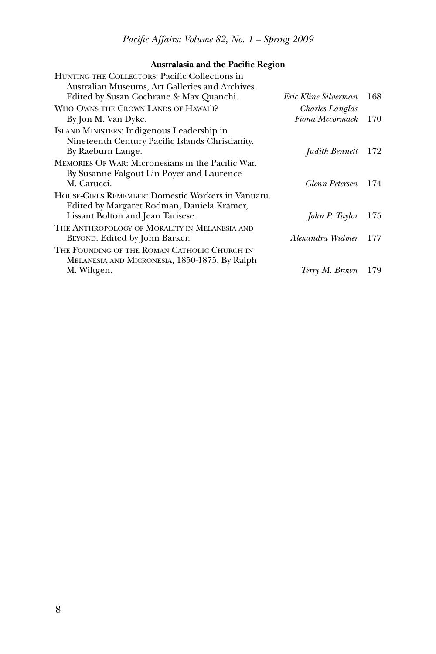## **Australasia and the Pacific Region**

| HUNTING THE COLLECTORS: Pacific Collections in<br>Australian Museums, Art Galleries and Archives.     |                      |     |
|-------------------------------------------------------------------------------------------------------|----------------------|-----|
| Edited by Susan Cochrane & Max Quanchi.                                                               | Eric Kline Silverman | 168 |
| WHO OWNS THE CROWN LANDS OF HAWAI'I?                                                                  | Charles Langlas      |     |
| By Jon M. Van Dyke.                                                                                   | Fiona Mccormack      | 170 |
| ISLAND MINISTERS: Indigenous Leadership in<br>Nineteenth Century Pacific Islands Christianity.        |                      |     |
| By Raeburn Lange.                                                                                     | Judith Bennett 172   |     |
| <b>MEMORIES OF WAR: Micronesians in the Pacific War.</b><br>By Susanne Falgout Lin Poyer and Laurence |                      |     |
| M. Carucci.                                                                                           | Glenn Petersen       | 174 |
| HOUSE-GIRLS REMEMBER: Domestic Workers in Vanuatu.<br>Edited by Margaret Rodman, Daniela Kramer,      |                      |     |
| Lissant Bolton and Jean Tarisese.                                                                     | John P. Taylor       | 175 |
| THE ANTHROPOLOGY OF MORALITY IN MELANESIA AND<br>BEYOND. Edited by John Barker.                       | Alexandra Widmer     | 177 |
| THE FOUNDING OF THE ROMAN CATHOLIC CHURCH IN<br>MELANESIA AND MICRONESIA, 1850-1875. By Ralph         |                      |     |
| M. Wiltgen.                                                                                           | Terry M. Brown       | 179 |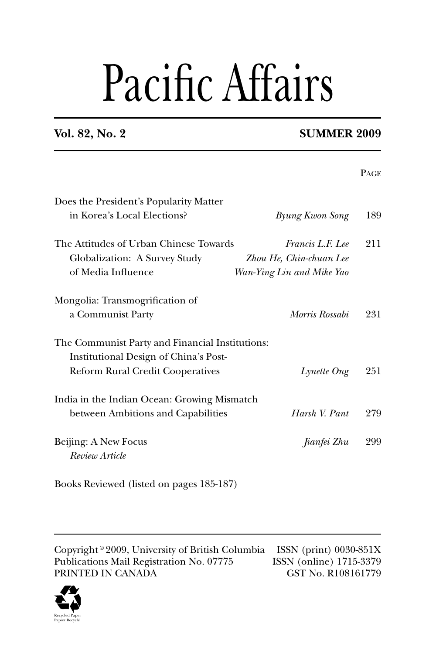# Pacific Affairs

## **Vol. 82, No. 2** SUMMER 2009

|                                                 |                           | <b>PAGE</b> |
|-------------------------------------------------|---------------------------|-------------|
| Does the President's Popularity Matter          |                           |             |
| in Korea's Local Elections?                     | <b>Byung Kwon Song</b>    | 189         |
| The Attitudes of Urban Chinese Towards          | Francis L.F. Lee          | 211         |
| Globalization: A Survey Study                   | Zhou He, Chin-chuan Lee   |             |
| of Media Influence                              | Wan-Ying Lin and Mike Yao |             |
| Mongolia: Transmogrification of                 |                           |             |
| a Communist Party                               | Morris Rossabi            | 231         |
| The Communist Party and Financial Institutions: |                           |             |
| Institutional Design of China's Post-           |                           |             |
| <b>Reform Rural Credit Cooperatives</b>         | Lynette Ong               | 251         |
| India in the Indian Ocean: Growing Mismatch     |                           |             |
| between Ambitions and Capabilities              | Harsh V. Pant             | 279         |
| Beijing: A New Focus                            | Jianfei Zhu               | 299         |
| Review Article                                  |                           |             |
|                                                 |                           |             |

Books Reviewed (listed on pages 185-187)

Copyright <sup>©</sup> 2009, University of British Columbia ISSN (print) 0030-851X<br>Publications Mail Registration No. 07775 ISSN (online) 1715-3379 Publications Mail Registration No. 07775 PRINTED IN CANADA GST No. R108161779

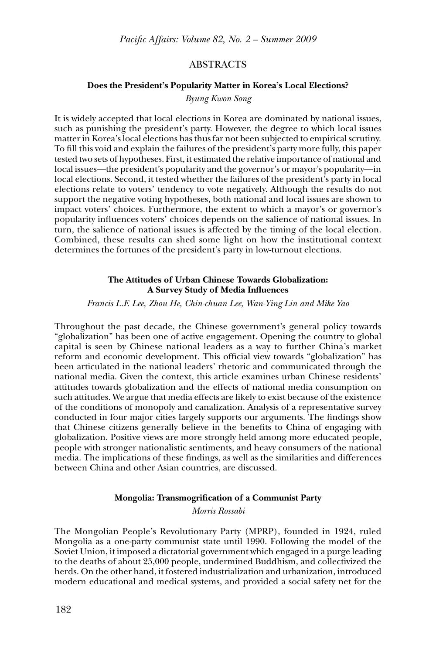## ABSTRACTS

## **Does the President's Popularity Matter in Korea's Local Elections?**

### *Byung Kwon Song*

It is widely accepted that local elections in Korea are dominated by national issues, such as punishing the president's party. However, the degree to which local issues matter in Korea's local elections has thus far not been subjected to empirical scrutiny. To fill this void and explain the failures of the president's party more fully, this paper tested two sets of hypotheses. First, it estimated the relative importance of national and local issues—the president's popularity and the governor's or mayor's popularity—in local elections. Second, it tested whether the failures of the president's party in local elections relate to voters' tendency to vote negatively. Although the results do not support the negative voting hypotheses, both national and local issues are shown to impact voters' choices. Furthermore, the extent to which a mayor's or governor's popularity influences voters' choices depends on the salience of national issues. In turn, the salience of national issues is affected by the timing of the local election. Combined, these results can shed some light on how the institutional context determines the fortunes of the president's party in low-turnout elections.

## **The Attitudes of Urban Chinese Towards Globalization: A Survey Study of Media Influences**

*Francis L.F. Lee, Zhou He, Chin-chuan Lee, Wan-Ying Lin and Mike Yao*

Throughout the past decade, the Chinese government's general policy towards "globalization" has been one of active engagement. Opening the country to global capital is seen by Chinese national leaders as a way to further China's market reform and economic development. This official view towards "globalization" has been articulated in the national leaders' rhetoric and communicated through the national media. Given the context, this article examines urban Chinese residents' attitudes towards globalization and the effects of national media consumption on such attitudes. We argue that media effects are likely to exist because of the existence of the conditions of monopoly and canalization. Analysis of a representative survey conducted in four major cities largely supports our arguments. The findings show that Chinese citizens generally believe in the benefits to China of engaging with globalization. Positive views are more strongly held among more educated people, people with stronger nationalistic sentiments, and heavy consumers of the national media. The implications of these findings, as well as the similarities and differences between China and other Asian countries, are discussed.

## **Mongolia: Transmogrification of a Communist Party**

*Morris Rossabi*

The Mongolian People's Revolutionary Party (MPRP), founded in 1924, ruled Mongolia as a one-party communist state until 1990. Following the model of the Soviet Union, it imposed a dictatorial government which engaged in a purge leading to the deaths of about 25,000 people, undermined Buddhism, and collectivized the herds. On the other hand, it fostered industrialization and urbanization, introduced modern educational and medical systems, and provided a social safety net for the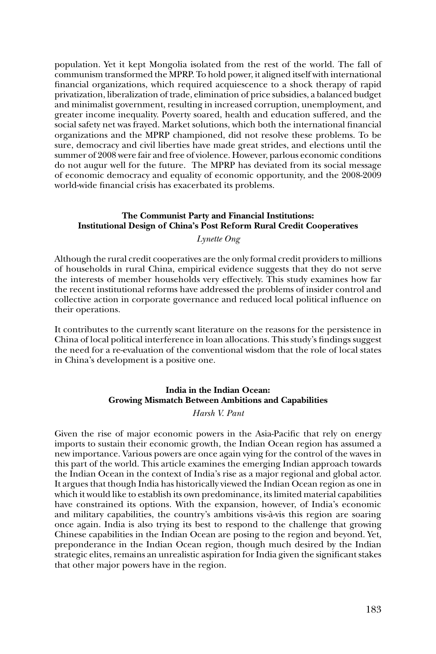population. Yet it kept Mongolia isolated from the rest of the world. The fall of communism transformed the MPRP. To hold power, it aligned itself with international financial organizations, which required acquiescence to a shock therapy of rapid privatization, liberalization of trade, elimination of price subsidies, a balanced budget and minimalist government, resulting in increased corruption, unemployment, and greater income inequality. Poverty soared, health and education suffered, and the social safety net was frayed. Market solutions, which both the international financial organizations and the MPRP championed, did not resolve these problems. To be sure, democracy and civil liberties have made great strides, and elections until the summer of 2008 were fair and free of violence. However, parlous economic conditions do not augur well for the future. The MPRP has deviated from its social message of economic democracy and equality of economic opportunity, and the 2008-2009 world-wide financial crisis has exacerbated its problems.

## **The Communist Party and Financial Institutions: Institutional Design of China's Post Reform Rural Credit Cooperatives**

## *Lynette Ong*

Although the rural credit cooperatives are the only formal credit providers to millions of households in rural China, empirical evidence suggests that they do not serve the interests of member households very effectively. This study examines how far the recent institutional reforms have addressed the problems of insider control and collective action in corporate governance and reduced local political influence on their operations.

It contributes to the currently scant literature on the reasons for the persistence in China of local political interference in loan allocations. This study's findings suggest the need for a re-evaluation of the conventional wisdom that the role of local states in China's development is a positive one.

## **India in the Indian Ocean: Growing Mismatch Between Ambitions and Capabilities**

## *Harsh V. Pant*

Given the rise of major economic powers in the Asia-Pacific that rely on energy imports to sustain their economic growth, the Indian Ocean region has assumed a new importance. Various powers are once again vying for the control of the waves in this part of the world. This article examines the emerging Indian approach towards the Indian Ocean in the context of India's rise as a major regional and global actor. It argues that though India has historically viewed the Indian Ocean region as one in which it would like to establish its own predominance, its limited material capabilities have constrained its options. With the expansion, however, of India's economic and military capabilities, the country's ambitions vis-à-vis this region are soaring once again. India is also trying its best to respond to the challenge that growing Chinese capabilities in the Indian Ocean are posing to the region and beyond. Yet, preponderance in the Indian Ocean region, though much desired by the Indian strategic elites, remains an unrealistic aspiration for India given the significant stakes that other major powers have in the region.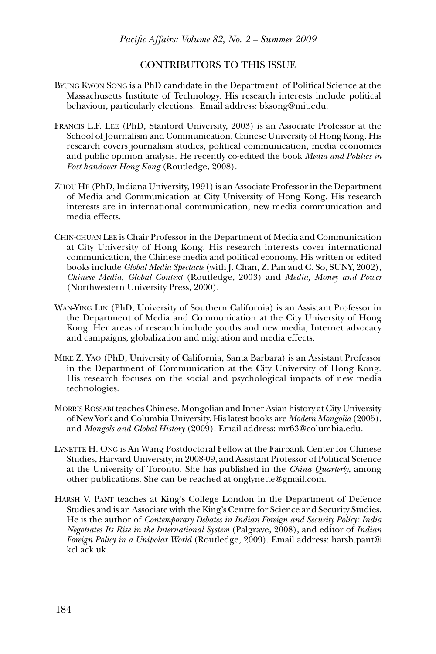## CONTRIBUTORS TO THIS ISSUE

- BYUNG KWON SONG is a PhD candidate in the Department of Political Science at the Massachusetts Institute of Technology. His research interests include political behaviour, particularly elections. Email address: bksong@mit.edu.
- FRANCIS L.F. LEE (PhD, Stanford University, 2003) is an Associate Professor at the School of Journalism and Communication, Chinese University of Hong Kong. His research covers journalism studies, political communication, media economics and public opinion analysis. He recently co-edited the book *Media and Politics in Post-handover Hong Kong* (Routledge, 2008).
- ZHOU HE (PhD, Indiana University, 1991) is an Associate Professor in the Department of Media and Communication at City University of Hong Kong. His research interests are in international communication, new media communication and media effects.
- CHIN-CHUAN LEE is Chair Professor in the Department of Media and Communication at City University of Hong Kong. His research interests cover international communication, the Chinese media and political economy. His written or edited books include *Global Media Spectacle* (with J. Chan, Z. Pan and C. So, SUNY, 2002), *Chinese Media, Global Context* (Routledge, 2003) and *Media, Money and Power* (Northwestern University Press, 2000).
- WAN-YING LIN (PhD, University of Southern California) is an Assistant Professor in the Department of Media and Communication at the City University of Hong Kong. Her areas of research include youths and new media, Internet advocacy and campaigns, globalization and migration and media effects.
- MIKE Z. YAO (PhD, University of California, Santa Barbara) is an Assistant Professor in the Department of Communication at the City University of Hong Kong. His research focuses on the social and psychological impacts of new media technologies.
- MORRIS ROSSABI teaches Chinese, Mongolian and Inner Asian history at City University of New York and Columbia University. His latest books are *Modern Mongolia* (2005), and *Mongols and Global History* (2009). Email address: mr63@columbia.edu.
- LYNETTE H. ONG is An Wang Postdoctoral Fellow at the Fairbank Center for Chinese Studies, Harvard University, in 2008-09, and Assistant Professor of Political Science at the University of Toronto. She has published in the *China Quarterly*, among other publications. She can be reached at onglynette@gmail.com.
- HARSH V. PANT teaches at King's College London in the Department of Defence Studies and is an Associate with the King's Centre for Science and Security Studies. He is the author of *Contemporary Debates in Indian Foreign and Security Policy: India Negotiates Its Rise in the International System* (Palgrave, 2008), and editor of *Indian Foreign Policy in a Unipolar World* (Routledge, 2009). Email address: harsh.pant@ kcl.ack.uk.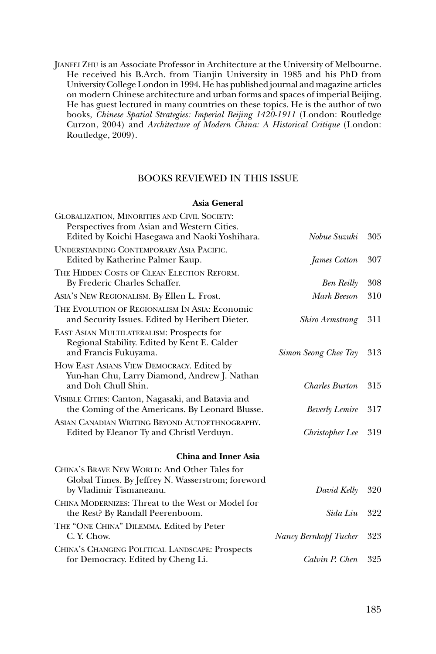JIANFEI ZHU is an Associate Professor in Architecture at the University of Melbourne. He received his B.Arch. from Tianjin University in 1985 and his PhD from University College London in 1994. He has published journal and magazine articles on modern Chinese architecture and urban forms and spaces of imperial Beijing. He has guest lectured in many countries on these topics. He is the author of two books, *Chinese Spatial Strategies: Imperial Beijing 1420-1911* (London: Routledge Curzon, 2004) and *Architecture of Modern China: A Historical Critique* (London: Routledge, 2009).

## BOOKS REVIEWED IN THIS ISSUE

## **Asia General**

| GLOBALIZATION, MINORITIES AND CIVIL SOCIETY:                                                                                 |                        |     |
|------------------------------------------------------------------------------------------------------------------------------|------------------------|-----|
| Perspectives from Asian and Western Cities.                                                                                  |                        |     |
| Edited by Koichi Hasegawa and Naoki Yoshihara.                                                                               | Nobue Suzuki           | 305 |
| UNDERSTANDING CONTEMPORARY ASIA PACIFIC.                                                                                     |                        |     |
| Edited by Katherine Palmer Kaup.                                                                                             | James Cotton           | 307 |
| THE HIDDEN COSTS OF CLEAN ELECTION REFORM.<br>By Frederic Charles Schaffer.                                                  | <b>Ben Reilly</b>      | 308 |
| ASIA'S NEW REGIONALISM. By Ellen L. Frost.                                                                                   | Mark Beeson            | 310 |
| THE EVOLUTION OF REGIONALISM IN ASIA: Economic<br>and Security Issues. Edited by Heribert Dieter.                            | <b>Shiro Armstrong</b> | 311 |
| EAST ASIAN MULTILATERALISM: Prospects for<br>Regional Stability. Edited by Kent E. Calder<br>and Francis Fukuyama.           | Simon Seong Chee Tay   | 313 |
| HOW EAST ASIANS VIEW DEMOCRACY. Edited by<br>Yun-han Chu, Larry Diamond, Andrew J. Nathan<br>and Doh Chull Shin.             | <b>Charles Burton</b>  | 315 |
| VISIBLE CITIES: Canton, Nagasaki, and Batavia and<br>the Coming of the Americans. By Leonard Blusse.                         | <b>Beverly Lemire</b>  | 317 |
| ASIAN CANADIAN WRITING BEYOND AUTOETHNOGRAPHY.<br>Edited by Eleanor Ty and Christl Verduyn.                                  | Christopher Lee        | 319 |
| <b>China and Inner Asia</b>                                                                                                  |                        |     |
| CHINA'S BRAVE NEW WORLD: And Other Tales for<br>Global Times. By Jeffrey N. Wasserstrom; foreword<br>by Vladimir Tismaneanu. | David Kelly            | 320 |
| CHINA MODERNIZES: Threat to the West or Model for<br>the Rest? By Randall Peerenboom.                                        | Sida Liu               | 322 |
| THE "ONE CHINA" DILEMMA. Edited by Peter<br>C. Y. Chow.                                                                      | Nancy Bernkopf Tucker  | 323 |
| CHINA'S CHANGING POLITICAL LANDSCAPE: Prospects<br>for Democracy. Edited by Cheng Li.                                        | Calvin P. Chen         | 325 |
|                                                                                                                              |                        |     |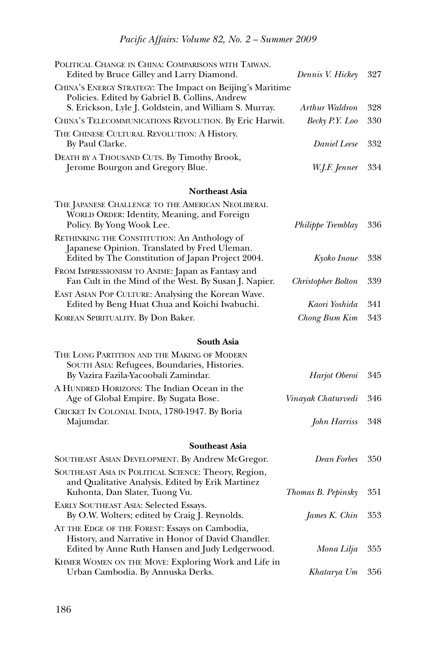| POLITICAL CHANGE IN CHINA: COMPARISONS WITH TAIWAN.<br>Edited by Bruce Gilley and Larry Diamond.                                                                      | Dennis V. Hickey         | 327 |
|-----------------------------------------------------------------------------------------------------------------------------------------------------------------------|--------------------------|-----|
| CHINA's ENERGY STRATEGY: The Impact on Beijing's Maritime<br>Policies. Edited by Gabriel B. Collins, Andrew<br>S. Erickson, Lyle J. Goldstein, and William S. Murray. | Arthur Waldron           | 328 |
| CHINA'S TELECOMMUNICATIONS REVOLUTION. By Eric Harwit.                                                                                                                | Becky P.Y. Loo           | 330 |
| THE CHINESE CULTURAL REVOLUTION: A History.<br>By Paul Clarke.                                                                                                        | <b>Daniel Leese</b>      | 332 |
| DEATH BY A THOUSAND CUTS. By Timothy Brook,<br>Jerome Bourgon and Gregory Blue.                                                                                       | W.J.F. Jenner            | 334 |
| <b>Northeast Asia</b>                                                                                                                                                 |                          |     |
| THE JAPANESE CHALLENGE TO THE AMERICAN NEOLIBERAL<br>WORLD ORDER: Identity, Meaning, and Foreign<br>Policy. By Yong Wook Lee.                                         | <i>Philippe Tremblay</i> | 336 |
| RETHINKING THE CONSTITUTION: An Anthology of<br>Japanese Opinion. Translated by Fred Uleman.<br>Edited by The Constitution of Japan Project 2004.                     | Kyoko Inoue              | 338 |
| FROM IMPRESSIONISM TO ANIME: Japan as Fantasy and<br>Fan Cult in the Mind of the West. By Susan J. Napier.                                                            | Christopher Bolton       | 339 |
| EAST ASIAN POP CULTURE: Analysing the Korean Wave.<br>Edited by Beng Huat Chua and Koichi Iwabuchi.                                                                   | Kaori Yoshida            | 341 |
| KOREAN SPIRITUALITY. By Don Baker.                                                                                                                                    | Chong Bum Kim            | 343 |
| <b>South Asia</b>                                                                                                                                                     |                          |     |
| THE LONG PARTITION AND THE MAKING OF MODERN                                                                                                                           |                          |     |
| SOUTH ASIA: Refugees, Boundaries, Histories.<br>By Vazira Fazila-Yacoobali Zamindar.                                                                                  | Harjot Oberoi            | 345 |
| A HUNDRED HORIZONS: The Indian Ocean in the<br>Age of Global Empire. By Sugata Bose.                                                                                  | Vinayak Chaturvedi       | 346 |
| CRICKET IN COLONIAL INDIA, 1780-1947. By Boria<br>Majumdar.                                                                                                           | John Harriss             | 348 |
| <b>Southeast Asia</b>                                                                                                                                                 |                          |     |
| SOUTHEAST ASIAN DEVELOPMENT. By Andrew McGregor.                                                                                                                      | Dean Forbes              | 350 |
| SOUTHEAST ASIA IN POLITICAL SCIENCE: Theory, Region,<br>and Qualitative Analysis. Edited by Erik Martinez<br>Kuhonta, Dan Slater, Tuong Vu.                           | Thomas B. Pepinsky       | 351 |
| <b>EARLY SOUTHEAST ASIA: Selected Essays.</b><br>By O.W. Wolters; edited by Craig J. Reynolds.                                                                        | James K. Chin            | 353 |
| AT THE EDGE OF THE FOREST: Essays on Cambodia,<br>History, and Narrative in Honor of David Chandler.<br>Edited by Anne Ruth Hansen and Judy Ledgerwood.               | Mona Lilja               | 355 |
| KHMER WOMEN ON THE MOVE: Exploring Work and Life in<br>Urban Cambodia. By Annuska Derks.                                                                              | Khatarya Um              | 356 |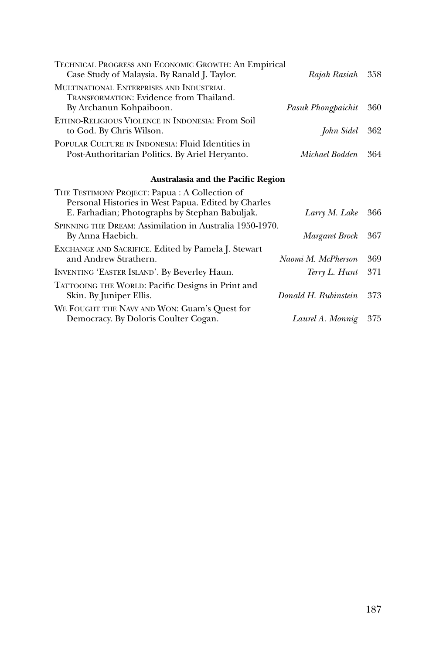| TECHNICAL PROGRESS AND ECONOMIC GROWTH: An Empirical<br>Case Study of Malaysia. By Ranald J. Taylor.                  | Rajah Rasiah 358       |  |
|-----------------------------------------------------------------------------------------------------------------------|------------------------|--|
| MULTINATIONAL ENTERPRISES AND INDUSTRIAL<br><b>TRANSFORMATION: Evidence from Thailand.</b><br>By Archanun Kohpaiboon. | Pasuk Phongpaichit 360 |  |
| ETHNO-RELIGIOUS VIOLENCE IN INDONESIA: From Soil<br>to God. By Chris Wilson.                                          | John Sidel 362         |  |
| POPULAR CULTURE IN INDONESIA: Fluid Identities in<br>Post-Authoritarian Politics. By Ariel Heryanto.                  | Michael Bodden 364     |  |

## **Australasia and the Pacific Region**

| Larry M. Lake        | 366                                                      |
|----------------------|----------------------------------------------------------|
| Margaret Brock       | 367                                                      |
| Naomi M. McPherson   | 369                                                      |
| Terry L. Hunt        | 371                                                      |
| Donald H. Rubinstein | 373                                                      |
| Laurel A. Monnig     | 375                                                      |
|                      | SPINNING THE DREAM: Assimilation in Australia 1950-1970. |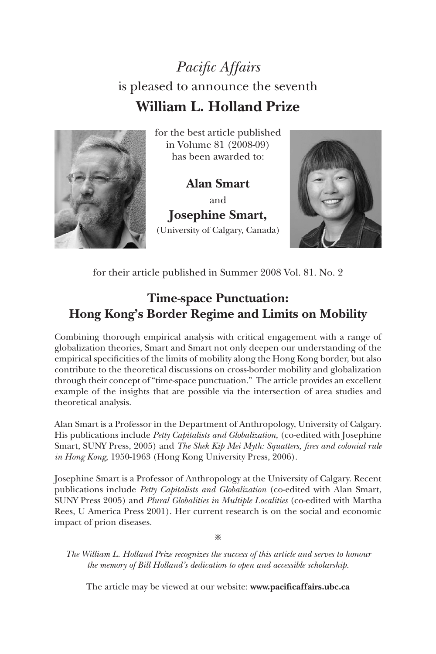## *Pacific Affairs*  is pleased to announce the seventh **William L. Holland Prize**



for the best article published in Volume 81 (2008-09) has been awarded to:

**Alan Smart**  and **Josephine Smart,**  (University of Calgary, Canada)



for their article published in Summer 2008 Vol. 81. No. 2

## **Time-space Punctuation: Hong Kong's Border Regime and Limits on Mobility**

Combining thorough empirical analysis with critical engagement with a range of globalization theories, Smart and Smart not only deepen our understanding of the empirical specificities of the limits of mobility along the Hong Kong border, but also contribute to the theoretical discussions on cross-border mobility and globalization through their concept of "time-space punctuation." The article provides an excellent example of the insights that are possible via the intersection of area studies and theoretical analysis.

Alan Smart is a Professor in the Department of Anthropology, University of Calgary. His publications include *Petty Capitalists and Globalization,* (co-edited with Josephine Smart, SUNY Press, 2005) and *The Shek Kip Mei Myth: Squatters, fires and colonial rule in Hong Kong,* 1950-1963 (Hong Kong University Press, 2006).

Josephine Smart is a Professor of Anthropology at the University of Calgary. Recent publications include *Petty Capitalists and Globalization* (co-edited with Alan Smart, SUNY Press 2005) and *Plural Globalities in Multiple Localities* (co-edited with Martha Rees, U America Press 2001). Her current research is on the social and economic impact of prion diseases.

※

*The William L. Holland Prize recognizes the success of this article and serves to honour the memory of Bill Holland's dedication to open and accessible scholarship.*

The article may be viewed at our website: **www.pacificaffairs.ubc.ca**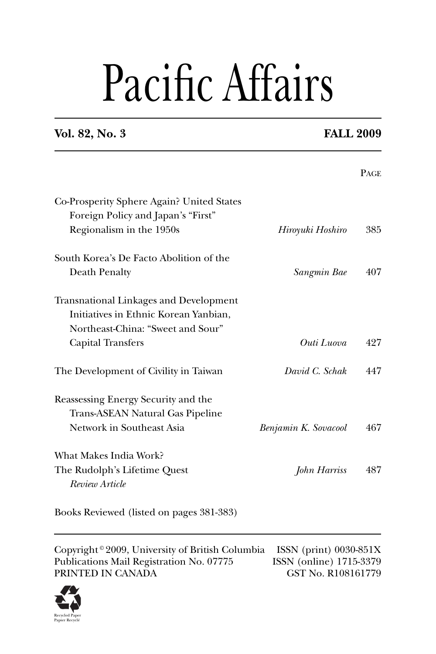# Pacific Affairs

## **Vol. 82, No. 3 FALL 2009**

|                                                                                 |                      | <b>PAGE</b> |
|---------------------------------------------------------------------------------|----------------------|-------------|
| Co-Prosperity Sphere Again? United States<br>Foreign Policy and Japan's "First" |                      |             |
| Regionalism in the 1950s                                                        | Hiroyuki Hoshiro     | 385         |
| South Korea's De Facto Abolition of the                                         |                      |             |
| Death Penalty                                                                   | Sangmin Bae          | 407         |
| <b>Transnational Linkages and Development</b>                                   |                      |             |
| Initiatives in Ethnic Korean Yanbian,                                           |                      |             |
| Northeast-China: "Sweet and Sour"                                               |                      |             |
| <b>Capital Transfers</b>                                                        | Outi Luova           | 427         |
| The Development of Civility in Taiwan                                           | David C. Schak       | 447         |
| Reassessing Energy Security and the                                             |                      |             |
| Trans-ASEAN Natural Gas Pipeline                                                |                      |             |
| Network in Southeast Asia                                                       | Benjamin K. Sovacool | 467         |
| What Makes India Work?                                                          |                      |             |
| The Rudolph's Lifetime Quest                                                    | John Harriss         | 487         |
| Review Article                                                                  |                      |             |
|                                                                                 |                      |             |

Books Reviewed (listed on pages 381-383)

Copyright © 2009, University of British Columbia ISSN (print) 0030-851X<br>Publications Mail Registration No. 07775 ISSN (online) 1715-3379 Publications Mail Registration No. 07775 ISSN (online) 1715-3379<br>PRINTED IN CANADA GST No. R108161779 PRINTED IN CANADA

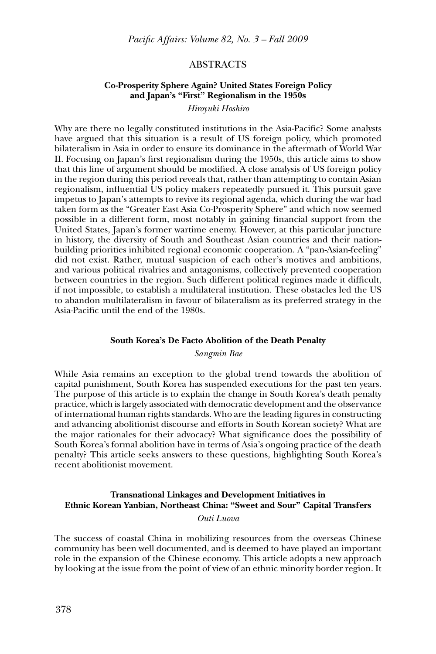## ABSTRACTS

## **Co-Prosperity Sphere Again? United States Foreign Policy and Japan's "First" Regionalism in the 1950s**

*Hiroyuki Hoshiro*

Why are there no legally constituted institutions in the Asia-Pacific? Some analysts have argued that this situation is a result of US foreign policy, which promoted bilateralism in Asia in order to ensure its dominance in the aftermath of World War II. Focusing on Japan's first regionalism during the 1950s, this article aims to show that this line of argument should be modified. A close analysis of US foreign policy in the region during this period reveals that, rather than attempting to contain Asian regionalism, influential US policy makers repeatedly pursued it. This pursuit gave impetus to Japan's attempts to revive its regional agenda, which during the war had taken form as the "Greater East Asia Co-Prosperity Sphere" and which now seemed possible in a different form, most notably in gaining financial support from the United States, Japan's former wartime enemy. However, at this particular juncture in history, the diversity of South and Southeast Asian countries and their nationbuilding priorities inhibited regional economic cooperation. A "pan-Asian-feeling" did not exist. Rather, mutual suspicion of each other's motives and ambitions, and various political rivalries and antagonisms, collectively prevented cooperation between countries in the region. Such different political regimes made it difficult, if not impossible, to establish a multilateral institution. These obstacles led the US to abandon multilateralism in favour of bilateralism as its preferred strategy in the Asia-Pacific until the end of the 1980s.

## **South Korea's De Facto Abolition of the Death Penalty**

*Sangmin Bae*

While Asia remains an exception to the global trend towards the abolition of capital punishment, South Korea has suspended executions for the past ten years. The purpose of this article is to explain the change in South Korea's death penalty practice, which is largely associated with democratic development and the observance of international human rights standards. Who are the leading figures in constructing and advancing abolitionist discourse and efforts in South Korean society? What are the major rationales for their advocacy? What significance does the possibility of South Korea's formal abolition have in terms of Asia's ongoing practice of the death penalty? This article seeks answers to these questions, highlighting South Korea's recent abolitionist movement.

## **Transnational Linkages and Development Initiatives in Ethnic Korean Yanbian, Northeast China: "Sweet and Sour" Capital Transfers**

*Outi Luova*

The success of coastal China in mobilizing resources from the overseas Chinese community has been well documented, and is deemed to have played an important role in the expansion of the Chinese economy. This article adopts a new approach by looking at the issue from the point of view of an ethnic minority border region. It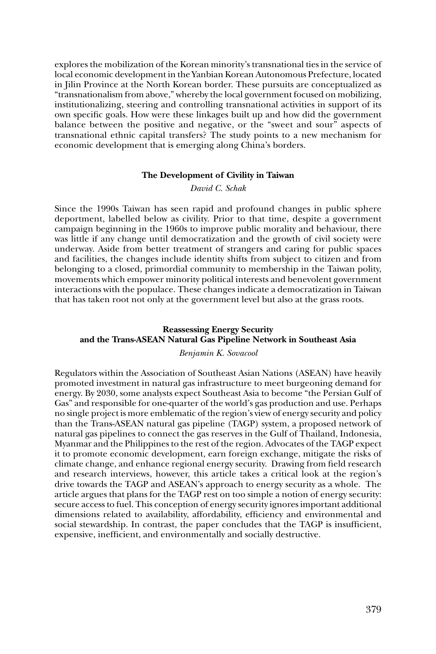explores the mobilization of the Korean minority's transnational ties in the service of local economic development in the Yanbian Korean Autonomous Prefecture, located in Jilin Province at the North Korean border. These pursuits are conceptualized as "transnationalism from above," whereby the local government focused on mobilizing, institutionalizing, steering and controlling transnational activities in support of its own specifi c goals. How were these linkages built up and how did the government balance between the positive and negative, or the "sweet and sour" aspects of transnational ethnic capital transfers? The study points to a new mechanism for economic development that is emerging along China's borders.

### **The Development of Civility in Taiwan**

*David C. Schak*

Since the 1990s Taiwan has seen rapid and profound changes in public sphere deportment, labelled below as civility. Prior to that time, despite a government campaign beginning in the 1960s to improve public morality and behaviour, there was little if any change until democratization and the growth of civil society were underway. Aside from better treatment of strangers and caring for public spaces and facilities, the changes include identity shifts from subject to citizen and from belonging to a closed, primordial community to membership in the Taiwan polity, movements which empower minority political interests and benevolent government interactions with the populace. These changes indicate a democratization in Taiwan that has taken root not only at the government level but also at the grass roots.

## **Reassessing Energy Security and the Trans-ASEAN Natural Gas Pipeline Network in Southeast Asia**

*Benjamin K. Sovacool* 

Regulators within the Association of Southeast Asian Nations (ASEAN) have heavily promoted investment in natural gas infrastructure to meet burgeoning demand for energy. By 2030, some analysts expect Southeast Asia to become "the Persian Gulf of Gas" and responsible for one-quarter of the world's gas production and use. Perhaps no single project is more emblematic of the region's view of energy security and policy than the Trans-ASEAN natural gas pipeline (TAGP) system, a proposed network of natural gas pipelines to connect the gas reserves in the Gulf of Thailand, Indonesia, Myanmar and the Philippines to the rest of the region. Advocates of the TAGP expect it to promote economic development, earn foreign exchange, mitigate the risks of climate change, and enhance regional energy security. Drawing from field research and research interviews, however, this article takes a critical look at the region's drive towards the TAGP and ASEAN's approach to energy security as a whole. The article argues that plans for the TAGP rest on too simple a notion of energy security: secure access to fuel. This conception of energy security ignores important additional dimensions related to availability, affordability, efficiency and environmental and social stewardship. In contrast, the paper concludes that the TAGP is insufficient, expensive, inefficient, and environmentally and socially destructive.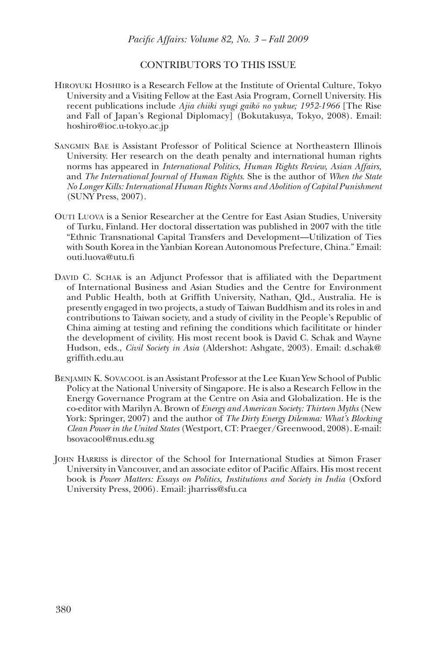## CONTRIBUTORS TO THIS ISSUE

- Hiroyuki Hoshiro is a Research Fellow at the Institute of Oriental Culture, Tokyo University and a Visiting Fellow at the East Asia Program, Cornell University. His recent publications include *Ajia chiiki syugi gaiko¯ no yukue; 1952-1966* [The Rise and Fall of Japan's Regional Diplomacy] (Bokutakusya, Tokyo, 2008). Email: hoshiro@ioc.u-tokyo.ac.jp
- Sangmin Bae is Assistant Professor of Political Science at Northeastern Illinois University. Her research on the death penalty and international human rights norms has appeared in *International Politics*, *Human Rights Review, Asian Affairs,*  and *The International Journal of Human Rights*. She is the author of *When the State No Longer Kills: International Human Rights Norms and Abolition of Capital Punishment* (SUNY Press, 2007).
- Outi Luova is a Senior Researcher at the Centre for East Asian Studies, University of Turku, Finland. Her doctoral dissertation was published in 2007 with the title "Ethnic Transnational Capital Transfers and Development—Utilization of Ties with South Korea in the Yanbian Korean Autonomous Prefecture, China." Email: outi.luova@utu.fi
- David C. Schak is an Adjunct Professor that is affiliated with the Department of International Business and Asian Studies and the Centre for Environment and Public Health, both at Griffith University, Nathan, Qld., Australia. He is presently engaged in two projects, a study of Taiwan Buddhism and its roles in and contributions to Taiwan society, and a study of civility in the People's Republic of China aiming at testing and refining the conditions which facilititate or hinder the development of civility. His most recent book is David C. Schak and Wayne Hudson, eds., *Civil Society in Asia* (Aldershot: Ashgate, 2003). Email: d.schak@ griffith.edu.au
- Benjamin K. Sovacool is an Assistant Professor at the Lee Kuan Yew School of Public Policy at the National University of Singapore. He is also a Research Fellow in the Energy Governance Program at the Centre on Asia and Globalization. He is the co-editor with Marilyn A. Brown of *Energy and American Society: Thirteen Myths* (New York: Springer, 2007) and the author of *The Dirty Energy Dilemma: What's Blocking Clean Power in the United States* (Westport, CT: Praeger/Greenwood, 2008). E-mail: bsovacool@nus.edu.sg
- JOHN HARRISS is director of the School for International Studies at Simon Fraser University in Vancouver, and an associate editor of Pacific Affairs. His most recent book is *Power Matters: Essays on Politics, Institutions and Society in India* (Oxford University Press, 2006). Email: jharriss@sfu.ca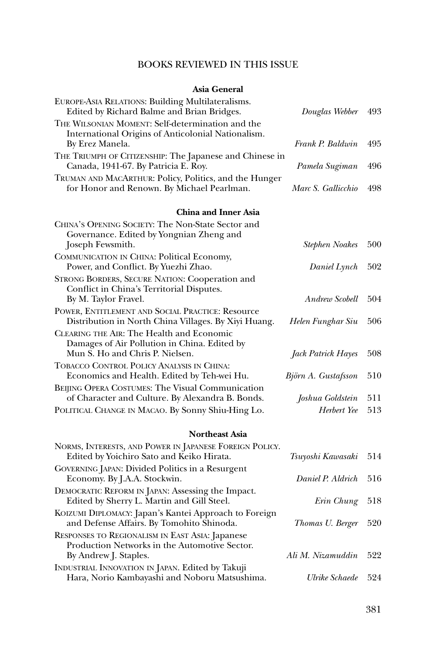## BOOKS REVIEWED IN THIS ISSUE

## **Asia General**

| EUROPE-ASIA RELATIONS: Building Multilateralisms.<br>Edited by Richard Balme and Brian Bridges.          | Douglas Webber        | 493 |
|----------------------------------------------------------------------------------------------------------|-----------------------|-----|
| THE WILSONIAN MOMENT: Self-determination and the                                                         |                       |     |
| International Origins of Anticolonial Nationalism.<br>By Erez Manela.                                    | Frank P. Baldwin      | 495 |
| THE TRIUMPH OF CITIZENSHIP: The Japanese and Chinese in<br>Canada, 1941-67. By Patricia E. Roy.          | Pamela Sugiman        | 496 |
| TRUMAN AND MACARTHUR: Policy, Politics, and the Hunger<br>for Honor and Renown. By Michael Pearlman.     | Marc S. Gallicchio    | 498 |
| <b>China and Inner Asia</b>                                                                              |                       |     |
| CHINA'S OPENING SOCIETY: The Non-State Sector and                                                        |                       |     |
| Governance. Edited by Yongnian Zheng and                                                                 |                       | 500 |
| Joseph Fewsmith.<br>COMMUNICATION IN CHINA: Political Economy,                                           | <b>Stephen Noakes</b> |     |
| Power, and Conflict. By Yuezhi Zhao.                                                                     | Daniel Lynch          | 502 |
| STRONG BORDERS, SECURE NATION: Cooperation and                                                           |                       |     |
| Conflict in China's Territorial Disputes.                                                                |                       |     |
| By M. Taylor Fravel.                                                                                     | Andrew Scobell        | 504 |
| POWER, ENTITLEMENT AND SOCIAL PRACTICE: Resource<br>Distribution in North China Villages. By Xiyi Huang. | Helen Funghar Siu     | 506 |
| CLEARING THE AIR: The Health and Economic                                                                |                       |     |
| Damages of Air Pollution in China. Edited by<br>Mun S. Ho and Chris P. Nielsen.                          |                       | 508 |
| TOBACCO CONTROL POLICY ANALYSIS IN CHINA:                                                                | Jack Patrick Hayes    |     |
| Economics and Health. Edited by Teh-wei Hu.                                                              | Björn A. Gustafsson   | 510 |
| BEIJING OPERA COSTUMES: The Visual Communication                                                         |                       |     |
| of Character and Culture. By Alexandra B. Bonds.                                                         | Joshua Goldstein      | 511 |
| POLITICAL CHANGE IN MACAO. By Sonny Shiu-Hing Lo.                                                        | Herbert Yee           | 513 |
| <b>Northeast Asia</b>                                                                                    |                       |     |
| NORMS, INTERESTS, AND POWER IN JAPANESE FOREIGN POLICY.<br>Edited by Yoichiro Sato and Keiko Hirata.     | Tsuyoshi Kawasaki     | 514 |
| GOVERNING JAPAN: Divided Politics in a Resurgent<br>Economy. By J.A.A. Stockwin.                         | Daniel P. Aldrich     | 516 |
| DEMOCRATIC REFORM IN JAPAN: Assessing the Impact.<br>Edited by Sherry L. Martin and Gill Steel.          | Erin Chung            | 518 |
| KOIZUMI DIPLOMACY: Japan's Kantei Approach to Foreign                                                    |                       |     |

RESPONSES TO REGIONALISM IN EAST ASIA: Japanese Production Networks in the Automotive Sector. By Andrew J. Staples. *Ali M. Nizamuddin* 522 INDUSTRIAL INNOVATION IN JAPAN. Edited by Takuji Hara, Norio Kambayashi and Noboru Matsushima. *Ulrike Schaede* 524

and Defense Affairs. By Tomohito Shinoda. *Thomas U. Berger* 520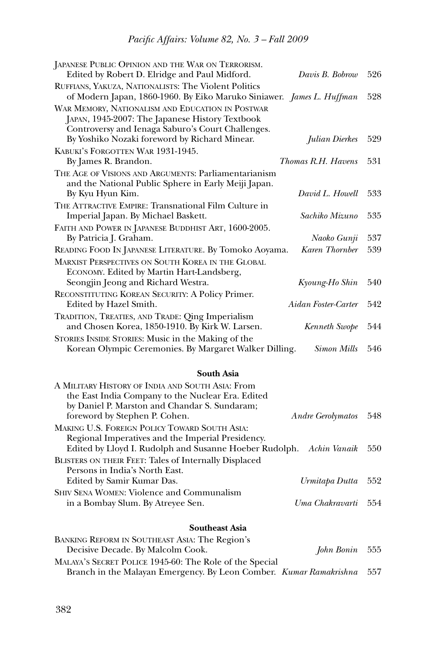| JAPANESE PUBLIC OPINION AND THE WAR ON TERRORISM.                                                                                                        |                     |     |
|----------------------------------------------------------------------------------------------------------------------------------------------------------|---------------------|-----|
| Edited by Robert D. Elridge and Paul Midford.                                                                                                            | Davis B. Bobrow     | 526 |
| RUFFIANS, YAKUZA, NATIONALISTS: The Violent Politics<br>of Modern Japan, 1860-1960. By Eiko Maruko Siniawer. James L. Huffman                            |                     | 528 |
| WAR MEMORY, NATIONALISM AND EDUCATION IN POSTWAR<br>JAPAN, 1945-2007: The Japanese History Textbook<br>Controversy and Ienaga Saburo's Court Challenges. |                     |     |
| By Yoshiko Nozaki foreword by Richard Minear.                                                                                                            | Julian Dierkes      | 529 |
| KABUKI'S FORGOTTEN WAR 1931-1945.<br>By James R. Brandon.                                                                                                | Thomas R.H. Havens  | 531 |
| THE AGE OF VISIONS AND ARGUMENTS: Parliamentarianism<br>and the National Public Sphere in Early Meiji Japan.<br>By Kyu Hyun Kim.                         | David L. Howell     | 533 |
| THE ATTRACTIVE EMPIRE: Transnational Film Culture in<br>Imperial Japan. By Michael Baskett.                                                              | Sachiko Mizuno      | 535 |
| FAITH AND POWER IN JAPANESE BUDDHIST ART, 1600-2005.<br>By Patricia J. Graham.                                                                           | Naoko Gunji         | 537 |
| READING FOOD IN JAPANESE LITERATURE. By Tomoko Aoyama.                                                                                                   | Karen Thornber      | 539 |
| <b>MARXIST PERSPECTIVES ON SOUTH KOREA IN THE GLOBAL</b><br>ECONOMY. Edited by Martin Hart-Landsberg,                                                    |                     |     |
| Seongjin Jeong and Richard Westra.                                                                                                                       | Kyoung-Ho Shin      | 540 |
| RECONSTITUTING KOREAN SECURITY: A Policy Primer.<br>Edited by Hazel Smith.                                                                               | Aidan Foster-Carter | 542 |
| TRADITION, TREATIES, AND TRADE: Qing Imperialism<br>and Chosen Korea, 1850-1910. By Kirk W. Larsen.                                                      | Kenneth Swope       | 544 |
| STORIES INSIDE STORIES: Music in the Making of the<br>Korean Olympic Ceremonies. By Margaret Walker Dilling.                                             | <b>Simon Mills</b>  | 546 |

## **South Asia**

| A MILITARY HISTORY OF INDIA AND SOUTH ASIA: From                        |                     |     |
|-------------------------------------------------------------------------|---------------------|-----|
| the East India Company to the Nuclear Era. Edited                       |                     |     |
| by Daniel P. Marston and Chandar S. Sundaram;                           |                     |     |
| foreword by Stephen P. Cohen.                                           | Andre Gerolymatos   | 548 |
| MAKING U.S. FOREIGN POLICY TOWARD SOUTH ASIA:                           |                     |     |
| Regional Imperatives and the Imperial Presidency.                       |                     |     |
| Edited by Lloyd I. Rudolph and Susanne Hoeber Rudolph. Achin Vanaik 550 |                     |     |
| <b>BLISTERS ON THEIR FEET: Tales of Internally Displaced</b>            |                     |     |
| Persons in India's North East.                                          |                     |     |
| Edited by Samir Kumar Das.                                              | Urmitapa Dutta 552  |     |
| <b>SHIV SENA WOMEN: Violence and Communalism</b>                        |                     |     |
| in a Bombay Slum. By Atreyee Sen.                                       | Uma Chakravarti 554 |     |
|                                                                         |                     |     |

## **Southeast Asia**

| John Bonin 555                                                         |  |
|------------------------------------------------------------------------|--|
|                                                                        |  |
| Branch in the Malayan Emergency. By Leon Comber. Kumar Ramakrishna 557 |  |
|                                                                        |  |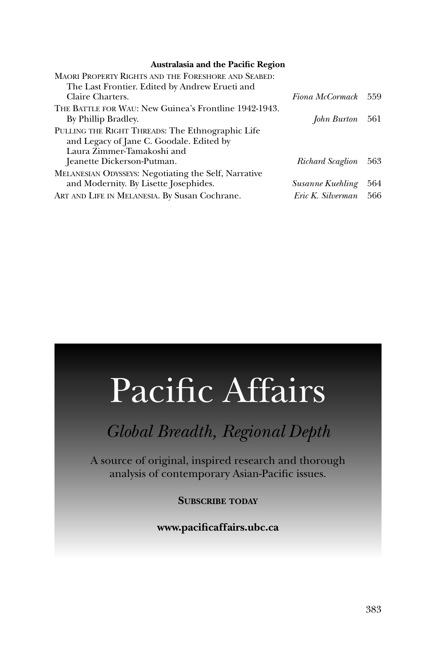## **Australasia and the Pacific Region**

| <b>MAORI PROPERTY RIGHTS AND THE FORESHORE AND SEABED:</b>  |                      |     |
|-------------------------------------------------------------|----------------------|-----|
| The Last Frontier. Edited by Andrew Erueti and              |                      |     |
| Claire Charters.                                            | Fiona McCormack 559  |     |
| THE BATTLE FOR WAU: New Guinea's Frontline 1942-1943.       |                      |     |
| By Phillip Bradley.                                         | John Burton 561      |     |
| PULLING THE RIGHT THREADS: The Ethnographic Life            |                      |     |
| and Legacy of Jane C. Goodale. Edited by                    |                      |     |
| Laura Zimmer-Tamakoshi and                                  |                      |     |
| Jeanette Dickerson-Putman.                                  | Richard Scaglion 563 |     |
| <b>MELANESIAN ODYSSEYS: Negotiating the Self, Narrative</b> |                      |     |
| and Modernity. By Lisette Josephides.                       | Susanne Kuehling     | 564 |
| ART AND LIFE IN MELANESIA. By Susan Cochrane.               | Eric K. Silverman    | 566 |

## Pacific Affairs

## *Global Breadth, Regional Depth*

A source of original, inspired research and thorough analysis of contemporary Asian-Pacific issues.

**SUBSCRIBE TODAY**

**www.pacifi caffairs.ubc.ca**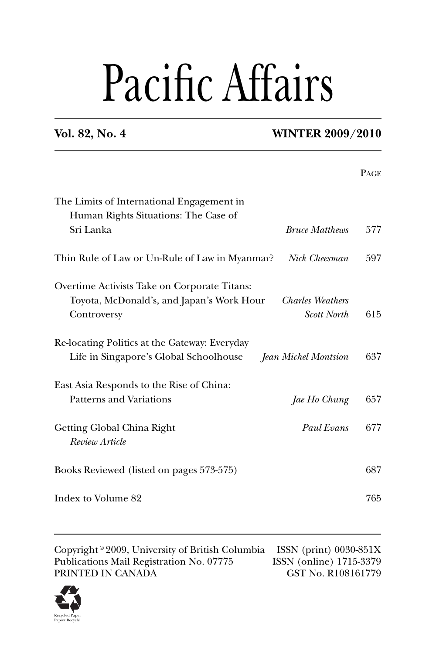# Pacific Affairs

## **Vol. 82, No. 4 WINTER 2009/2010**

|                                                                                                                 | PAGE |
|-----------------------------------------------------------------------------------------------------------------|------|
| The Limits of International Engagement in<br>Human Rights Situations: The Case of                               |      |
| Sri Lanka<br><b>Bruce Matthews</b>                                                                              | 577  |
| Nick Cheesman<br>Thin Rule of Law or Un-Rule of Law in Myanmar?                                                 | 597  |
| Overtime Activists Take on Corporate Titans:                                                                    |      |
| Toyota, McDonald's, and Japan's Work Hour<br><b>Charles Weathers</b><br><b>Scott North</b><br>Controversy       | 615  |
| Re-locating Politics at the Gateway: Everyday<br>Life in Singapore's Global Schoolhouse<br>Jean Michel Montsion | 637  |
| East Asia Responds to the Rise of China:                                                                        |      |
| <b>Patterns and Variations</b><br>Jae Ho Chung                                                                  | 657  |
| Getting Global China Right<br>Paul Evans<br>Review Article                                                      | 677  |
| Books Reviewed (listed on pages 573-575)                                                                        | 687  |
| Index to Volume 82                                                                                              | 765  |

Copyright © 2009, University of British Columbia ISSN (print) 0030-851X<br>Publications Mail Registration No. 07775 ISSN (online) 1715-3379 Publications Mail Registration No. 07775 PRINTED IN CANADA GST No. R108161779

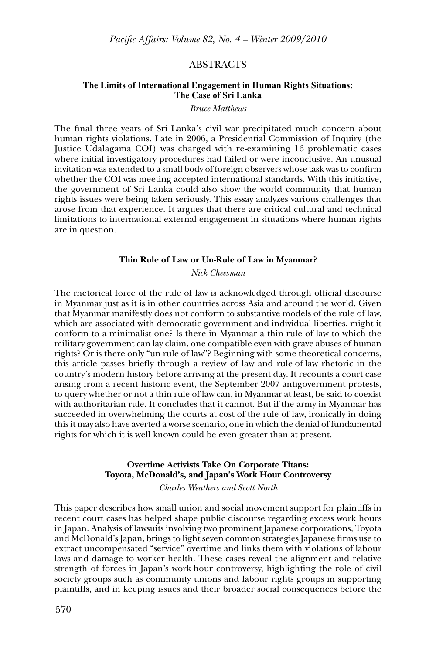## ABSTRACTS

## **The Limits of International Engagement in Human Rights Situations: The Case of Sri Lanka**

### *Bruce Matthews*

The final three years of Sri Lanka's civil war precipitated much concern about human rights violations. Late in 2006, a Presidential Commission of Inquiry (the Justice Udalagama COI) was charged with re-examining 16 problematic cases where initial investigatory procedures had failed or were inconclusive. An unusual invitation was extended to a small body of foreign observers whose task was to confirm whether the COI was meeting accepted international standards. With this initiative, the government of Sri Lanka could also show the world community that human rights issues were being taken seriously. This essay analyzes various challenges that arose from that experience. It argues that there are critical cultural and technical limitations to international external engagement in situations where human rights are in question.

## **Thin Rule of Law or Un-Rule of Law in Myanmar?**

*Nick Cheesman*

The rhetorical force of the rule of law is acknowledged through official discourse in Myanmar just as it is in other countries across Asia and around the world. Given that Myanmar manifestly does not conform to substantive models of the rule of law, which are associated with democratic government and individual liberties, might it conform to a minimalist one? Is there in Myanmar a thin rule of law to which the military government can lay claim, one compatible even with grave abuses of human rights? Or is there only "un-rule of law"? Beginning with some theoretical concerns, this article passes briefly through a review of law and rule-of-law rhetoric in the country's modern history before arriving at the present day. It recounts a court case arising from a recent historic event, the September 2007 antigovernment protests, to query whether or not a thin rule of law can, in Myanmar at least, be said to coexist with authoritarian rule. It concludes that it cannot. But if the army in Myanmar has succeeded in overwhelming the courts at cost of the rule of law, ironically in doing this it may also have averted a worse scenario, one in which the denial of fundamental rights for which it is well known could be even greater than at present.

## **Overtime Activists Take On Corporate Titans: Toyota, McDonald's, and Japan's Work Hour Controversy**

*Charles Weathers and Scott North*

This paper describes how small union and social movement support for plaintiffs in recent court cases has helped shape public discourse regarding excess work hours in Japan. Analysis of lawsuits involving two prominent Japanese corporations, Toyota and McDonald's Japan, brings to light seven common strategies Japanese firms use to extract uncompensated "service" overtime and links them with violations of labour laws and damage to worker health. These cases reveal the alignment and relative strength of forces in Japan's work-hour controversy, highlighting the role of civil society groups such as community unions and labour rights groups in supporting plaintiffs, and in keeping issues and their broader social consequences before the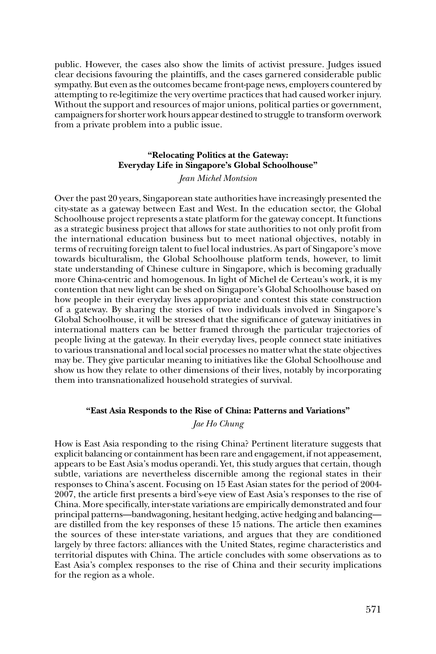public. However, the cases also show the limits of activist pressure. Judges issued clear decisions favouring the plaintiffs, and the cases garnered considerable public sympathy. But even as the outcomes became front-page news, employers countered by attempting to re-legitimize the very overtime practices that had caused worker injury. Without the support and resources of major unions, political parties or government, campaigners for shorter work hours appear destined to struggle to transform overwork from a private problem into a public issue.

## **"Relocating Politics at the Gateway: Everyday Life in Singapore's Global Schoolhouse"**

*Jean Michel Montsion*

Over the past 20 years, Singaporean state authorities have increasingly presented the city-state as a gateway between East and West. In the education sector, the Global Schoolhouse project represents a state platform for the gateway concept. It functions as a strategic business project that allows for state authorities to not only profit from the international education business but to meet national objectives, notably in terms of recruiting foreign talent to fuel local industries. As part of Singapore's move towards biculturalism, the Global Schoolhouse platform tends, however, to limit state understanding of Chinese culture in Singapore, which is becoming gradually more China-centric and homogenous. In light of Michel de Certeau's work, it is my contention that new light can be shed on Singapore's Global Schoolhouse based on how people in their everyday lives appropriate and contest this state construction of a gateway. By sharing the stories of two individuals involved in Singapore's Global Schoolhouse, it will be stressed that the significance of gateway initiatives in international matters can be better framed through the particular trajectories of people living at the gateway. In their everyday lives, people connect state initiatives to various transnational and local social processes no matter what the state objectives may be. They give particular meaning to initiatives like the Global Schoolhouse and show us how they relate to other dimensions of their lives, notably by incorporating them into transnationalized household strategies of survival.

## **"East Asia Responds to the Rise of China: Patterns and Variations"**

## *Jae Ho Chung*

How is East Asia responding to the rising China? Pertinent literature suggests that explicit balancing or containment has been rare and engagement, if not appeasement, appears to be East Asia's modus operandi. Yet, this study argues that certain, though subtle, variations are nevertheless discernible among the regional states in their responses to China's ascent. Focusing on 15 East Asian states for the period of 2004- 2007, the article first presents a bird's-eye view of East Asia's responses to the rise of China. More specifically, inter-state variations are empirically demonstrated and four principal patterns—bandwagoning, hesitant hedging, active hedging and balancing are distilled from the key responses of these 15 nations. The article then examines the sources of these inter-state variations, and argues that they are conditioned largely by three factors: alliances with the United States, regime characteristics and territorial disputes with China. The article concludes with some observations as to East Asia's complex responses to the rise of China and their security implications for the region as a whole.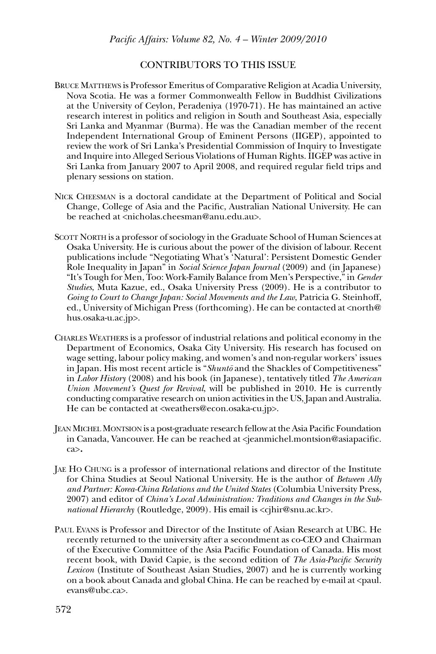## CONTRIBUTORS TO THIS ISSUE

- BRUCE MATTHEWS is Professor Emeritus of Comparative Religion at Acadia University, Nova Scotia. He was a former Commonwealth Fellow in Buddhist Civilizations at the University of Ceylon, Peradeniya (1970-71). He has maintained an active research interest in politics and religion in South and Southeast Asia, especially Sri Lanka and Myanmar (Burma). He was the Canadian member of the recent Independent International Group of Eminent Persons (IIGEP), appointed to review the work of Sri Lanka's Presidential Commission of Inquiry to Investigate and Inquire into Alleged Serious Violations of Human Rights. IIGEP was active in Sri Lanka from January 2007 to April 2008, and required regular field trips and plenary sessions on station.
- NICK CHEESMAN is a doctoral candidate at the Department of Political and Social Change, College of Asia and the Pacific, Australian National University. He can be reached at <nicholas.cheesman@anu.edu.au>.
- SCOTT NORTH is a professor of sociology in the Graduate School of Human Sciences at Osaka University. He is curious about the power of the division of labour. Recent publications include "Negotiating What's 'Natural': Persistent Domestic Gender Role Inequality in Japan" in *Social Science Japan Journal* (2009) and (in Japanese) "It's Tough for Men, Too: Work-Family Balance from Men's Perspective," in *Gender Studies*, Muta Kazue, ed., Osaka University Press (2009). He is a contributor to *Going to Court to Change Japan: Social Movements and the Law*, Patricia G. Steinhoff, ed., University of Michigan Press (forthcoming). He can be contacted at <north@ hus.osaka-u.ac.jp>.
- CHARLES WEATHERS is a professor of industrial relations and political economy in the Department of Economics, Osaka City University. His research has focused on wage setting, labour policy making, and women's and non-regular workers' issues in Japan. His most recent article is "*Shunto* and the Shackles of Competitiveness" in *Labor History* (2008) and his book (in Japanese), tentatively titled *The American Union Movement's Quest for Revival*, will be published in 2010. He is currently conducting comparative research on union activities in the US, Japan and Australia. He can be contacted at <weathers@econ.osaka-cu.jp>.
- JEAN MICHEL MONTSION is a post-graduate research fellow at the Asia Pacific Foundation in Canada, Vancouver. He can be reached at <jeanmichel.montsion@asiapacific. ca>.
- JAE HO CHUNG is a professor of international relations and director of the Institute for China Studies at Seoul National University. He is the author of *Between Ally and Partner: Korea-China Relations and the United States* (Columbia University Press, 2007) and editor of *China's Local Administration: Traditions and Changes in the Subnational Hierarchy* (Routledge, 2009). His email is <cjhir@snu.ac.kr>.
- PAUL EVANS is Professor and Director of the Institute of Asian Research at UBC. He recently returned to the university after a secondment as co-CEO and Chairman of the Executive Committee of the Asia Pacific Foundation of Canada. His most recent book, with David Capie, is the second edition of *The Asia-Pacifi c Security Lexicon* (Institute of Southeast Asian Studies, 2007) and he is currently working on a book about Canada and global China. He can be reached by e-mail at <paul. evans@ubc.ca>.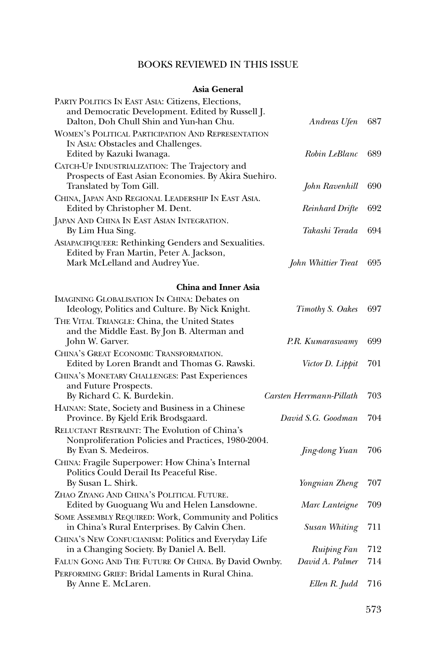## BOOKS REVIEWED IN THIS ISSUE

## **Asia General**

| PARTY POLITICS IN EAST ASIA: Citizens, Elections,<br>and Democratic Development. Edited by Russell J.<br>Dalton, Doh Chull Shin and Yun-han Chu. | Andreas Ufen             | 687 |
|--------------------------------------------------------------------------------------------------------------------------------------------------|--------------------------|-----|
| <b>WOMEN'S POLITICAL PARTICIPATION AND REPRESENTATION</b><br>IN ASIA: Obstacles and Challenges.<br>Edited by Kazuki Iwanaga.                     | Robin LeBlanc            | 689 |
| CATCH-UP INDUSTRIALIZATION: The Trajectory and<br>Prospects of East Asian Economies. By Akira Suehiro.<br>Translated by Tom Gill.                | John Ravenhill           | 690 |
| CHINA, JAPAN AND REGIONAL LEADERSHIP IN EAST ASIA.<br>Edited by Christopher M. Dent.                                                             | Reinhard Drifte          | 692 |
| JAPAN AND CHINA IN EAST ASIAN INTEGRATION.<br>By Lim Hua Sing.                                                                                   | Takashi Terada           | 694 |
| ASIAPACIFIQUEER: Rethinking Genders and Sexualities.<br>Edited by Fran Martin, Peter A. Jackson,<br>Mark McLelland and Audrey Yue.               | John Whittier Treat      | 695 |
| <b>China and Inner Asia</b>                                                                                                                      |                          |     |
| <b>IMAGINING GLOBALISATION IN CHINA: Debates on</b><br>Ideology, Politics and Culture. By Nick Knight.                                           | Timothy S. Oakes         | 697 |
| THE VITAL TRIANGLE: China, the United States<br>and the Middle East. By Jon B. Alterman and<br>John W. Garver.                                   | P.R. Kumaraswamy         | 699 |
| CHINA'S GREAT ECONOMIC TRANSFORMATION.<br>Edited by Loren Brandt and Thomas G. Rawski.                                                           | Victor D. Lippit         | 701 |
| CHINA'S MONETARY CHALLENGES: Past Experiences<br>and Future Prospects.<br>By Richard C. K. Burdekin.                                             | Carsten Herrmann-Pillath | 703 |
| HAINAN: State, Society and Business in a Chinese<br>Province. By Kjeld Erik Brodsgaard.                                                          | David S.G. Goodman       | 704 |
| RELUCTANT RESTRAINT: The Evolution of China's<br>Nonproliferation Policies and Practices, 1980-2004.<br>By Evan S. Medeiros.                     | <i>Jing-dong Yuan</i>    | 706 |
| CHINA: Fragile Superpower: How China's Internal<br>Politics Could Derail Its Peaceful Rise.<br>By Susan L. Shirk.                                | Yongnian Zheng           | 707 |
| ZHAO ZIYANG AND CHINA'S POLITICAL FUTURE.<br>Edited by Guoguang Wu and Helen Lansdowne.                                                          | Marc Lanteigne           | 709 |
| SOME ASSEMBLY REQUIRED: Work, Community and Politics<br>in China's Rural Enterprises. By Calvin Chen.                                            | Susan Whiting            | 711 |
| CHINA'S NEW CONFUCIANISM: Politics and Everyday Life<br>in a Changing Society. By Daniel A. Bell.                                                | <b>Ruiping Fan</b>       | 712 |
| FALUN GONG AND THE FUTURE OF CHINA. By David Ownby.                                                                                              | David A. Palmer          | 714 |
| PERFORMING GRIEF: Bridal Laments in Rural China.<br>By Anne E. McLaren.                                                                          | Ellen R. Judd            | 716 |
|                                                                                                                                                  |                          |     |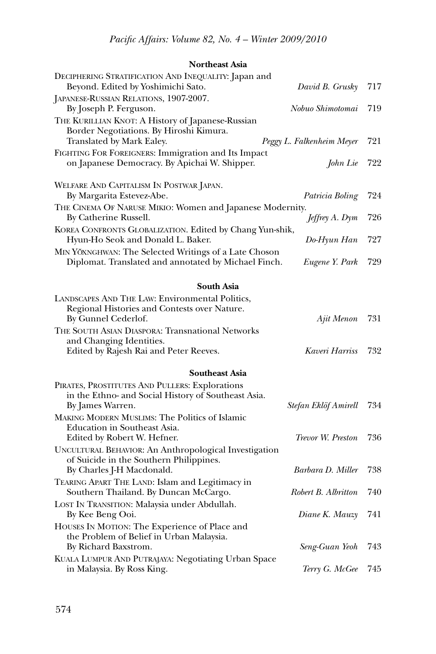## **Northeast Asia**

| DECIPHERING STRATIFICATION AND INEQUALITY: Japan and<br>Beyond. Edited by Yoshimichi Sato.                                | David B. Grusky                          | 717        |
|---------------------------------------------------------------------------------------------------------------------------|------------------------------------------|------------|
| JAPANESE-RUSSIAN RELATIONS, 1907-2007.<br>By Joseph P. Ferguson.                                                          | Nobuo Shimotomai                         | 719        |
| THE KURILLIAN KNOT: A History of Japanese-Russian<br>Border Negotiations. By Hiroshi Kimura.<br>Translated by Mark Ealey. | Peggy L. Falkenheim Meyer                | 721        |
| FIGHTING FOR FOREIGNERS: Immigration and Its Impact<br>on Japanese Democracy. By Apichai W. Shipper.                      | John Lie                                 | 722        |
| WELFARE AND CAPITALISM IN POSTWAR JAPAN.<br>By Margarita Estevez-Abe.                                                     | Patricia Boling                          | 724        |
| THE CINEMA OF NARUSE MIKIO: Women and Japanese Modernity.<br>By Catherine Russell.                                        | Jeffrey A. Dym                           | 726        |
| KOREA CONFRONTS GLOBALIZATION. Edited by Chang Yun-shik,<br>Hyun-Ho Seok and Donald L. Baker.                             | Do-Hyun Han                              | 727        |
| MIN YÖXNGHWAN: The Selected Writings of a Late Choson<br>Diplomat. Translated and annotated by Michael Finch.             | Eugene Y. Park                           | 729        |
| South Asia                                                                                                                |                                          |            |
| LANDSCAPES AND THE LAW: Environmental Politics,<br>Regional Histories and Contests over Nature.                           |                                          |            |
| By Gunnel Cederlof.                                                                                                       | Ajit Menon                               | 731        |
| THE SOUTH ASIAN DIASPORA: Transnational Networks<br>and Changing Identities.                                              |                                          |            |
| Edited by Rajesh Rai and Peter Reeves.                                                                                    | Kaveri Harriss                           | 732        |
| <b>Southeast Asia</b>                                                                                                     |                                          |            |
| PIRATES, PROSTITUTES AND PULLERS: Explorations<br>in the Ethno- and Social History of Southeast Asia.<br>By James Warren. | Stefan Eklöf Amirell                     | 734        |
| <b>MAKING MODERN MUSLIMS: The Politics of Islamic</b><br>Education in Southeast Asia.<br>Edited by Robert W. Hefner.      | Trevor W. Preston                        | 736        |
| UNCULTURAL BEHAVIOR: An Anthropological Investigation<br>of Suicide in the Southern Philippines.                          |                                          |            |
| By Charles J-H Macdonald.<br>TEARING APART THE LAND: Islam and Legitimacy in<br>Southern Thailand. By Duncan McCargo.     | Barbara D. Miller<br>Robert B. Albritton | 738<br>740 |
| LOST IN TRANSITION: Malaysia under Abdullah.<br>By Kee Beng Ooi.                                                          | Diane K. Mauzy                           | 741        |
| HOUSES IN MOTION: The Experience of Place and<br>the Problem of Belief in Urban Malaysia.<br>By Richard Baxstrom.         | Seng-Guan Yeoh                           | 743        |
| KUALA LUMPUR AND PUTRAJAYA: Negotiating Urban Space<br>in Malaysia. By Ross King.                                         | Terry G. McGee                           | 745        |